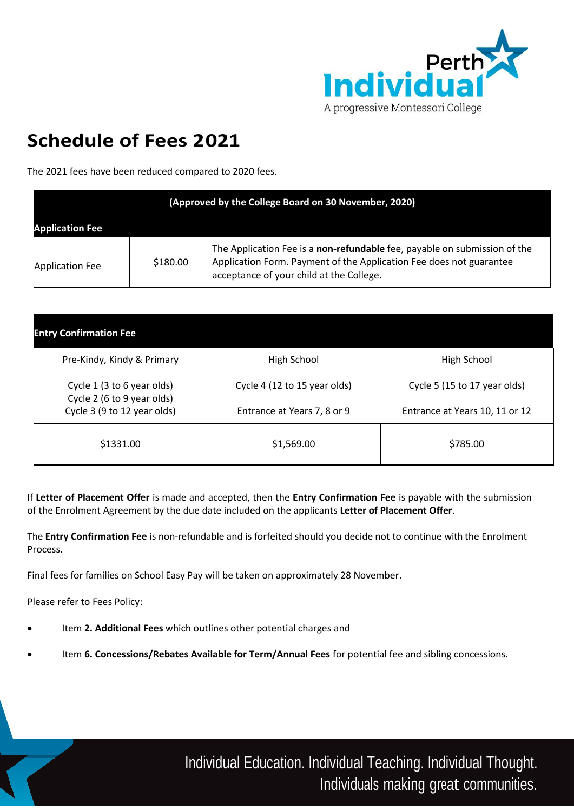

# **Schedule of Fees 2 021**

The 2021 fees have been reduced compared to 2020 fees.

| (Approved by the College Board on 30 November, 2020) |          |                                                                                                                                                                                              |  |  |
|------------------------------------------------------|----------|----------------------------------------------------------------------------------------------------------------------------------------------------------------------------------------------|--|--|
| <b>Application Fee</b>                               |          |                                                                                                                                                                                              |  |  |
| <b>Application Fee</b>                               | \$180.00 | The Application Fee is a non-refundable fee, payable on submission of the<br>Application Form. Payment of the Application Fee does not guarantee<br>acceptance of your child at the College. |  |  |

| <b>Entry Confirmation Fee</b>                            |                              |                                |
|----------------------------------------------------------|------------------------------|--------------------------------|
| Pre-Kindy, Kindy & Primary                               | High School                  | High School                    |
| Cycle 1 (3 to 6 year olds)<br>Cycle 2 (6 to 9 year olds) | Cycle 4 (12 to 15 year olds) | Cycle 5 (15 to 17 year olds)   |
| Cycle 3 (9 to 12 year olds)                              | Entrance at Years 7, 8 or 9  | Entrance at Years 10, 11 or 12 |
| \$1331.00                                                | \$1,569.00                   | \$785.00                       |

If **Letter of Placement Offer** is made and accepted, then the **Entry Confirmation Fee** is payable with the submission of the Enrolment Agreement by the due date included on the applicants **Letter of Placement Offer**.

The **Entry Confirmation Fee** is non-refundable and is forfeited should you decide not to continue with the Enrolment Process.

Final fees for families on School Easy Pay will be taken on approximately 28 November.

Please refer to Fees Policy:

- Item **2. Additional Fees** which outlines other potential charges and
- Item **6. Concessions/Rebates Available for Term/Annual Fees** for potential fee and sibling concessions.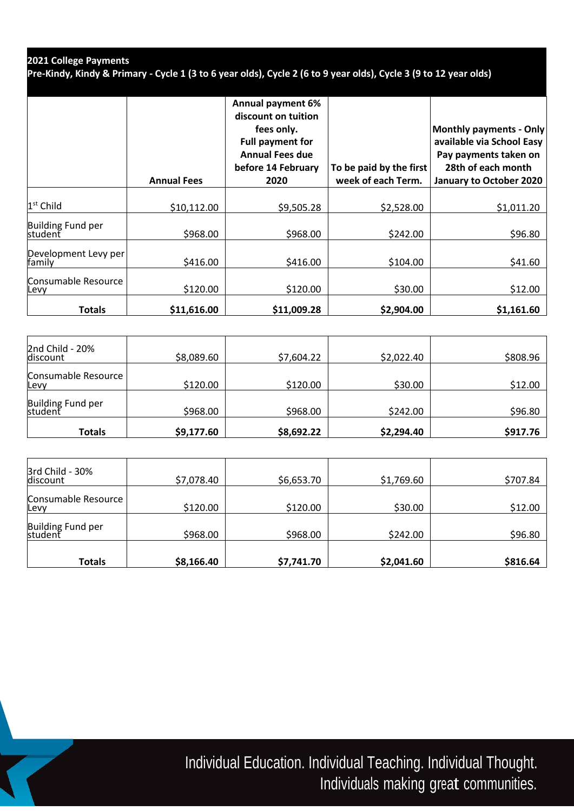## **2021 College Payments**

**Pre-Kindy, Kindy & Primary - Cycle 1 (3 to 6 year olds), Cycle 2 (6 to 9 year olds), Cycle 3 (9 to 12 year olds)**

|                                | <b>Annual Fees</b> | <b>Annual payment 6%</b><br>discount on tuition<br>fees only.<br><b>Full payment for</b><br><b>Annual Fees due</b><br>before 14 February<br>2020 | To be paid by the first<br>week of each Term. | Monthly payments - Only<br>available via School Easy<br>Pay payments taken on<br>28th of each month<br>January to October 2020 |
|--------------------------------|--------------------|--------------------------------------------------------------------------------------------------------------------------------------------------|-----------------------------------------------|--------------------------------------------------------------------------------------------------------------------------------|
| 1 <sup>st</sup> Child          | \$10,112.00        | \$9,505.28                                                                                                                                       | \$2,528.00                                    | \$1,011.20                                                                                                                     |
| Building Fund per<br>student   | \$968.00           | \$968.00                                                                                                                                         | \$242.00                                      | \$96.80                                                                                                                        |
| Development Levy per<br>family | \$416.00           | \$416.00                                                                                                                                         | \$104.00                                      | \$41.60                                                                                                                        |
| Consumable Resource<br>Levy    | \$120.00           | \$120.00                                                                                                                                         | \$30.00                                       | \$12.00                                                                                                                        |
| Totals                         | \$11,616.00        | \$11,009.28                                                                                                                                      | \$2,904.00                                    | \$1,161.60                                                                                                                     |

| 2nd Child - 20%<br>discount  | \$8,089.60 | \$7,604.22 | \$2,022.40 | \$808.96 |
|------------------------------|------------|------------|------------|----------|
| Consumable Resource<br>Levy  | \$120.00   | \$120.00   | \$30.00    | \$12.00  |
| Building Fund per<br>student | \$968.00   | \$968.00   | \$242.00   | \$96.80  |
| <b>Totals</b>                | \$9,177.60 | \$8,692.22 | \$2,294.40 | \$917.76 |

| 3rd Child - 30%<br>discount  | \$7,078.40 | \$6,653.70 | \$1,769.60 | \$707.84 |
|------------------------------|------------|------------|------------|----------|
| Consumable Resource<br>Levy  | \$120.00   | \$120.00   | \$30.00    | \$12.00  |
| Building Fund per<br>student | \$968.00   | \$968.00   | \$242.00   | \$96.80  |
| Totals                       | \$8,166.40 | \$7,741.70 | \$2,041.60 | \$816.64 |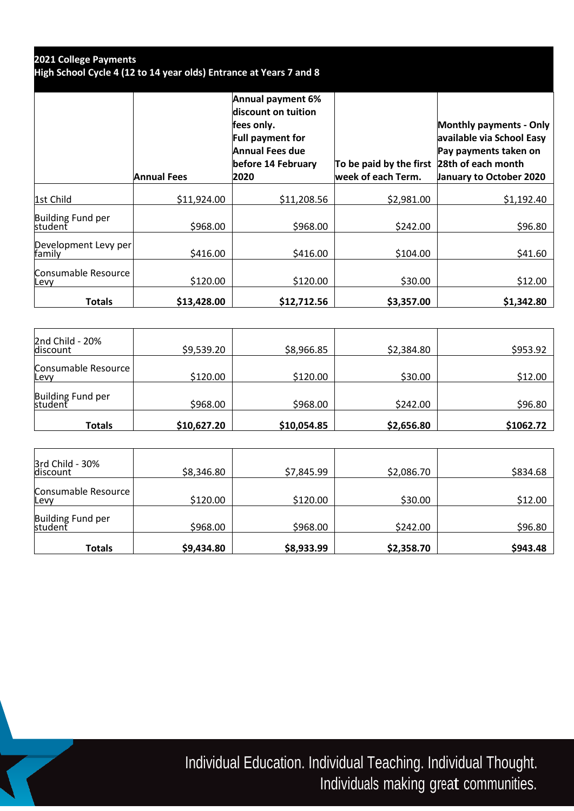| 2021 College Payments<br>High School Cycle 4 (12 to 14 year olds) Entrance at Years 7 and 8 |                    |                                                                                                                                           |                                                                  |                                                                                                                 |
|---------------------------------------------------------------------------------------------|--------------------|-------------------------------------------------------------------------------------------------------------------------------------------|------------------------------------------------------------------|-----------------------------------------------------------------------------------------------------------------|
|                                                                                             | <b>Annual Fees</b> | <b>Annual payment 6%</b><br>discount on tuition<br>fees only.<br>Full payment for<br><b>Annual Fees due</b><br>before 14 February<br>2020 | To be paid by the first 28th of each month<br>week of each Term. | <b>Monthly payments - Only</b><br>available via School Easy<br>Pay payments taken on<br>January to October 2020 |
| 1st Child                                                                                   | \$11,924.00        | \$11,208.56                                                                                                                               | \$2,981.00                                                       | \$1,192.40                                                                                                      |
| Building Fund per<br>student                                                                | \$968.00           | \$968.00                                                                                                                                  | \$242.00                                                         | \$96.80                                                                                                         |
| Development Levy per<br>family                                                              | \$416.00           | \$416.00                                                                                                                                  | \$104.00                                                         | \$41.60                                                                                                         |
| Consumable Resource<br>Levy                                                                 | \$120.00           | \$120.00                                                                                                                                  | \$30.00                                                          | \$12.00                                                                                                         |
| <b>Totals</b>                                                                               | \$13,428.00        | \$12,712.56                                                                                                                               | \$3,357.00                                                       | \$1,342.80                                                                                                      |

| 2nd Child - 20%<br>discount        | \$9,539.20  | \$8,966.85  | \$2,384.80 | \$953.92  |
|------------------------------------|-------------|-------------|------------|-----------|
| Consumable Resource<br><b>Levv</b> | \$120.00    | \$120.00    | \$30.00    | \$12.00   |
| Building Fund per<br>student       | \$968.00    | \$968.00    | \$242.00   | \$96.80   |
| Totals                             | \$10,627.20 | \$10,054.85 | \$2,656.80 | \$1062.72 |

| 3rd Child - 30%<br>discount        | \$8,346.80 | \$7,845.99 | \$2,086.70 | \$834.68 |
|------------------------------------|------------|------------|------------|----------|
| Consumable Resource<br><b>Levv</b> | \$120.00   | \$120.00   | \$30.00    | \$12.00  |
| Building Fund per<br>student       | \$968.00   | \$968.00   | \$242.00   | \$96.80  |
| Totals                             | \$9,434.80 | \$8,933.99 | \$2,358.70 | \$943.48 |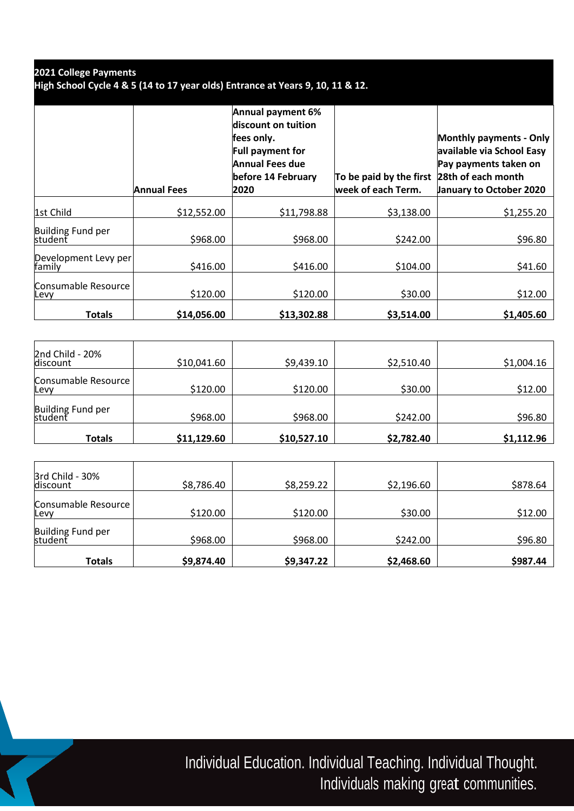| 2021 College Payments                                                          |
|--------------------------------------------------------------------------------|
| High School Cycle 4 & 5 (14 to 17 year olds) Entrance at Years 9, 10, 11 & 12. |

|                                | <b>Annual Fees</b> | Annual payment 6%<br>discount on tuition<br>fees only.<br><b>Full payment for</b><br>Annual Fees due<br>before 14 February<br>2020 | To be paid by the first<br>week of each Term. | <b>Monthly payments - Only</b><br>available via School Easy<br>Pay payments taken on<br>28th of each month<br><b>January to October 2020</b> |
|--------------------------------|--------------------|------------------------------------------------------------------------------------------------------------------------------------|-----------------------------------------------|----------------------------------------------------------------------------------------------------------------------------------------------|
| 1st Child                      | \$12,552.00        | \$11,798.88                                                                                                                        | \$3,138.00                                    | \$1,255.20                                                                                                                                   |
| Building Fund per<br>student   | \$968.00           | \$968.00                                                                                                                           | \$242.00                                      | \$96.80                                                                                                                                      |
| Development Levy per<br>family | \$416.00           | \$416.00                                                                                                                           | \$104.00                                      | \$41.60                                                                                                                                      |
| Consumable Resource<br>Levy    | \$120.00           | \$120.00                                                                                                                           | \$30.00                                       | \$12.00                                                                                                                                      |
| <b>Totals</b>                  | \$14,056.00        | \$13,302.88                                                                                                                        | \$3,514.00                                    | \$1,405.60                                                                                                                                   |

| 2nd Child - 20%<br>discount  | \$10,041.60 | \$9,439.10  | \$2,510.40 | \$1,004.16 |
|------------------------------|-------------|-------------|------------|------------|
| Consumable Resource<br>Levy  | \$120.00    | \$120.00    | \$30.00    | \$12.00    |
| Building Fund per<br>student | \$968.00    | \$968.00    | \$242.00   | \$96.80    |
| Totals                       | \$11,129.60 | \$10,527.10 | \$2,782.40 | \$1,112.96 |

| 3rd Child - 30%<br>discount  | \$8,786.40 | \$8,259.22 | \$2,196.60 | \$878.64 |
|------------------------------|------------|------------|------------|----------|
| Consumable Resource<br>Levy  | \$120.00   | \$120.00   | \$30.00    | \$12.00  |
| Building Fund per<br>student | \$968.00   | \$968.00   | \$242.00   | \$96.80  |
| Totals                       | \$9,874.40 | \$9,347.22 | \$2,468.60 | \$987.44 |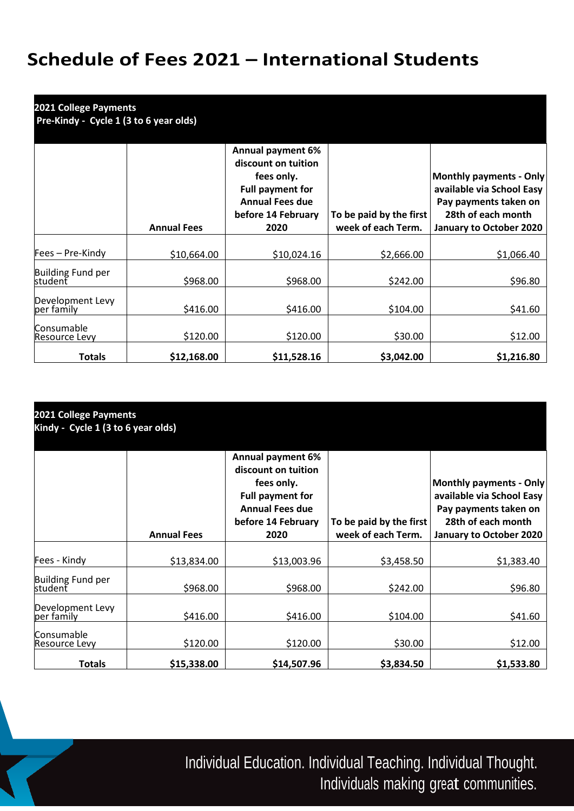## **Schedule of Fees 2 021 – International Students**

| <b>2021 College Payments</b><br>Pre-Kindy - Cycle 1 (3 to 6 year olds) |                    |                                                                                                                                                  |                                               |                                                                                                                                |  |
|------------------------------------------------------------------------|--------------------|--------------------------------------------------------------------------------------------------------------------------------------------------|-----------------------------------------------|--------------------------------------------------------------------------------------------------------------------------------|--|
|                                                                        | <b>Annual Fees</b> | <b>Annual payment 6%</b><br>discount on tuition<br>fees only.<br><b>Full payment for</b><br><b>Annual Fees due</b><br>before 14 February<br>2020 | To be paid by the first<br>week of each Term. | Monthly payments - Only<br>available via School Easy<br>Pay payments taken on<br>28th of each month<br>January to October 2020 |  |
| Fees – Pre-Kindy                                                       | \$10,664.00        | \$10,024.16                                                                                                                                      | \$2,666.00                                    | \$1,066.40                                                                                                                     |  |
| Building Fund per<br>student                                           | \$968.00           | \$968.00                                                                                                                                         | \$242.00                                      | \$96.80                                                                                                                        |  |
| Development Levy<br>per family                                         | \$416.00           | \$416.00                                                                                                                                         | \$104.00                                      | \$41.60                                                                                                                        |  |
| <b>Consumable</b><br>Resource Levy                                     | \$120.00           | \$120.00                                                                                                                                         | \$30.00                                       | \$12.00                                                                                                                        |  |
| <b>Totals</b>                                                          | \$12,168.00        | \$11,528.16                                                                                                                                      | \$3,042.00                                    | \$1,216.80                                                                                                                     |  |

| 2021 College Payments<br>Kindy - Cycle 1 (3 to 6 year olds) |                    |                                                                                                                                                  |                                               |                                                                                                                                       |  |
|-------------------------------------------------------------|--------------------|--------------------------------------------------------------------------------------------------------------------------------------------------|-----------------------------------------------|---------------------------------------------------------------------------------------------------------------------------------------|--|
|                                                             | <b>Annual Fees</b> | <b>Annual payment 6%</b><br>discount on tuition<br>fees only.<br><b>Full payment for</b><br><b>Annual Fees due</b><br>before 14 February<br>2020 | To be paid by the first<br>week of each Term. | <b>Monthly payments - Only</b><br>available via School Easy<br>Pay payments taken on<br>28th of each month<br>January to October 2020 |  |
| Fees - Kindy                                                | \$13,834.00        | \$13,003.96                                                                                                                                      | \$3,458.50                                    | \$1,383.40                                                                                                                            |  |
| Building Fund per<br>student                                | \$968.00           | \$968.00                                                                                                                                         | \$242.00                                      | \$96.80                                                                                                                               |  |
| Development Levy<br>per family                              | \$416.00           | \$416.00                                                                                                                                         | \$104.00                                      | \$41.60                                                                                                                               |  |
| Consumable<br>Resource Levy                                 | \$120.00           | \$120.00                                                                                                                                         | \$30.00                                       | \$12.00                                                                                                                               |  |
| <b>Totals</b>                                               | \$15,338.00        | \$14,507.96                                                                                                                                      | \$3,834.50                                    | \$1,533.80                                                                                                                            |  |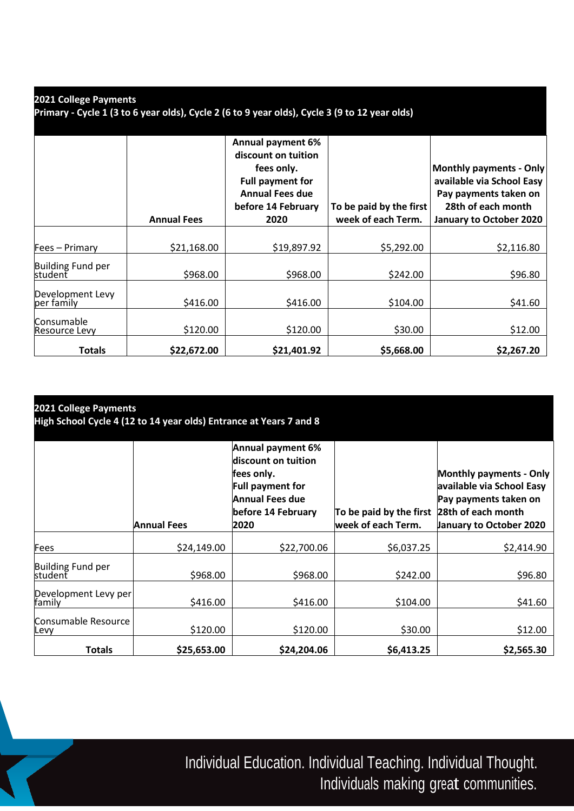| 2021 College Payments                                                                         |  |
|-----------------------------------------------------------------------------------------------|--|
| Primary - Cycle 1 (3 to 6 year olds), Cycle 2 (6 to 9 year olds), Cycle 3 (9 to 12 year olds) |  |

|                                           | <b>Annual Fees</b> | <b>Annual payment 6%</b><br>discount on tuition<br>fees only.<br><b>Full payment for</b><br><b>Annual Fees due</b><br>before 14 February<br>2020 | To be paid by the first<br>week of each Term. | <b>Monthly payments - Only</b><br>available via School Easy<br>Pay payments taken on<br>28th of each month<br>January to October 2020 |
|-------------------------------------------|--------------------|--------------------------------------------------------------------------------------------------------------------------------------------------|-----------------------------------------------|---------------------------------------------------------------------------------------------------------------------------------------|
| Fees - Primary                            | \$21,168.00        | \$19,897.92                                                                                                                                      | \$5,292.00                                    | \$2,116.80                                                                                                                            |
| Building Fund per<br>student              | \$968.00           | \$968.00                                                                                                                                         | \$242.00                                      | \$96.80                                                                                                                               |
| Development Levy<br>per family            | \$416.00           | \$416.00                                                                                                                                         | \$104.00                                      | \$41.60                                                                                                                               |
| <b>Consumable</b><br><b>Resource Levy</b> | \$120.00           | \$120.00                                                                                                                                         | \$30.00                                       | \$12.00                                                                                                                               |
| <b>Totals</b>                             | \$22,672.00        | \$21,401.92                                                                                                                                      | \$5,668.00                                    | \$2,267.20                                                                                                                            |

| 2021 College Payments<br>High School Cycle 4 (12 to 14 year olds) Entrance at Years 7 and 8 |                    |                                                                                                                                           |                                                                  |                                                                                                                 |  |
|---------------------------------------------------------------------------------------------|--------------------|-------------------------------------------------------------------------------------------------------------------------------------------|------------------------------------------------------------------|-----------------------------------------------------------------------------------------------------------------|--|
|                                                                                             | <b>Annual Fees</b> | Annual payment 6%<br>discount on tuition<br>fees only.<br><b>Full payment for</b><br><b>Annual Fees due</b><br>before 14 February<br>2020 | To be paid by the first 28th of each month<br>week of each Term. | <b>Monthly payments - Only</b><br>available via School Easy<br>Pay payments taken on<br>January to October 2020 |  |
| Fees                                                                                        | \$24,149.00        | \$22,700.06                                                                                                                               | \$6,037.25                                                       | \$2,414.90                                                                                                      |  |
| Building Fund per<br>student                                                                | \$968.00           | \$968.00                                                                                                                                  | \$242.00                                                         | \$96.80                                                                                                         |  |
| Development Levy per                                                                        | \$416.00           | \$416.00                                                                                                                                  | \$104.00                                                         | \$41.60                                                                                                         |  |
| Consumable Resource<br>Levy                                                                 | \$120.00           | \$120.00                                                                                                                                  | \$30.00                                                          | \$12.00                                                                                                         |  |
| <b>Totals</b>                                                                               | \$25,653.00        | \$24,204.06                                                                                                                               | \$6,413.25                                                       | \$2,565.30                                                                                                      |  |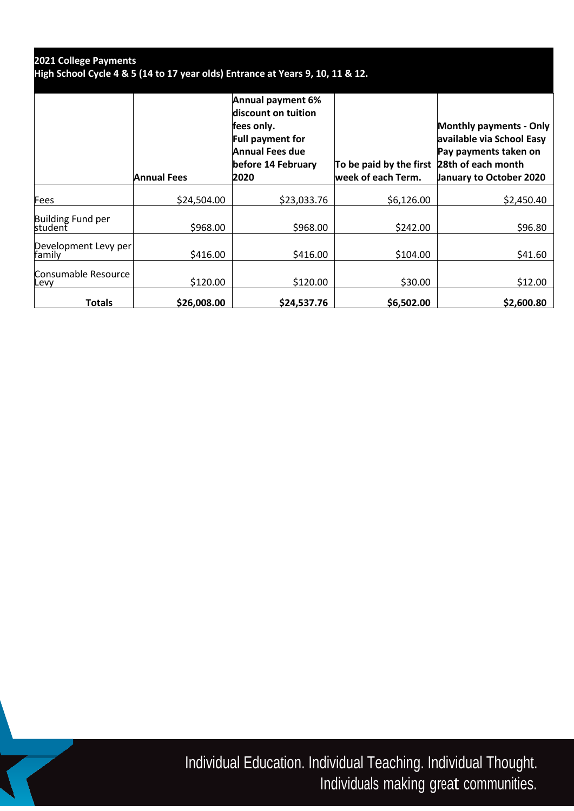| 2021 College Payments<br>High School Cycle 4 & 5 (14 to 17 year olds) Entrance at Years 9, 10, 11 & 12. |                    |                                                                                                                                           |                                                                  |                                                                                                                        |  |
|---------------------------------------------------------------------------------------------------------|--------------------|-------------------------------------------------------------------------------------------------------------------------------------------|------------------------------------------------------------------|------------------------------------------------------------------------------------------------------------------------|--|
|                                                                                                         | <b>Annual Fees</b> | Annual payment 6%<br>discount on tuition<br>fees only.<br><b>Full payment for</b><br><b>Annual Fees due</b><br>before 14 February<br>2020 | To be paid by the first 28th of each month<br>week of each Term. | <b>Monthly payments - Only</b><br>available via School Easy<br>Pay payments taken on<br><b>January to October 2020</b> |  |
| <b>Fees</b>                                                                                             | \$24,504.00        | \$23,033.76                                                                                                                               | \$6,126.00                                                       | \$2,450.40                                                                                                             |  |
| Building Fund per<br>student                                                                            | \$968.00           | \$968.00                                                                                                                                  | \$242.00                                                         | \$96.80                                                                                                                |  |
| Development Levy per<br>family                                                                          | \$416.00           | \$416.00                                                                                                                                  | \$104.00                                                         | \$41.60                                                                                                                |  |
| Consumable Resource<br>Levy                                                                             | \$120.00           | \$120.00                                                                                                                                  | \$30.00                                                          | \$12.00                                                                                                                |  |
| Totals                                                                                                  | \$26,008.00        | \$24,537.76                                                                                                                               | \$6,502.00                                                       | \$2,600.80                                                                                                             |  |

T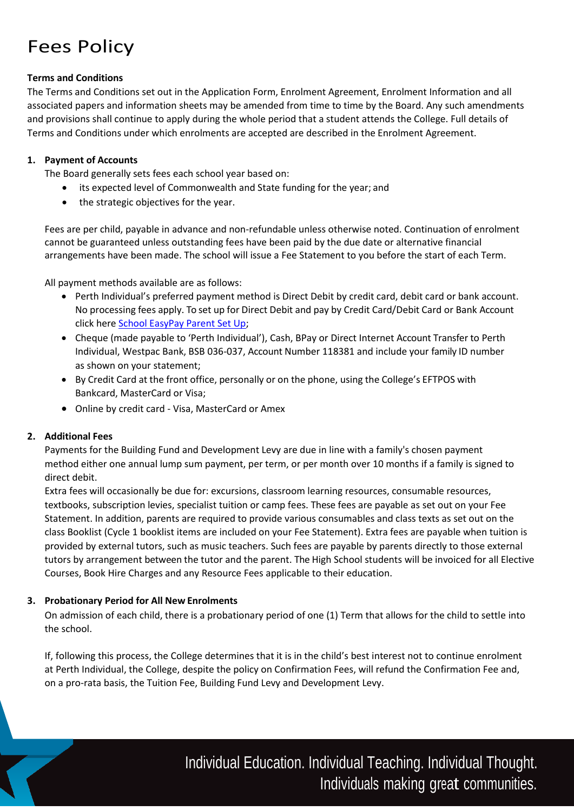## Fees Policy

## **Terms and Conditions**

The Terms and Conditions set out in the Application Form, Enrolment Agreement, Enrolment Information and all associated papers and information sheets may be amended from time to time by the Board. Any such amendments and provisions shall continue to apply during the whole period that a student attends the College. Full details of Terms and Conditions under which enrolments are accepted are described in the Enrolment Agreement.

### **1. Payment of Accounts**

The Board generally sets fees each school year based on:

- its expected level of Commonwealth and State funding for the year; and
- the strategic objectives for the year.

Fees are per child, payable in advance and non-refundable unless otherwise noted. Continuation of enrolment cannot be guaranteed unless outstanding fees have been paid by the due date or alternative financial arrangements have been made. The school will issue a Fee Statement to you before the start of each Term.

All payment methods available are as follows:

- Perth Individual's preferred payment method is Direct Debit by credit card, debit card or bank account. No processing fees apply. To set up for Direct Debit and pay by Credit Card/Debit Card or Bank Account click here [School EasyPay Parent Set Up;](https://pay.schooleasypay.com.au/setup/pms)
- Cheque (made payable to 'Perth Individual'), Cash, BPay or Direct Internet Account Transfer to Perth Individual, Westpac Bank, BSB 036-037, Account Number 118381 and include your family ID number as shown on your statement;
- By Credit Card at the front office, personally or on the phone, using the College's EFTPOS with Bankcard, MasterCard or Visa;
- Online by credit card Visa, MasterCard or Amex

## **2. Additional Fees**

Payments for the Building Fund and Development Levy are due in line with a family's chosen payment method either one annual lump sum payment, per term, or per month over 10 months if a family is signed to direct debit.

Extra fees will occasionally be due for: excursions, classroom learning resources, consumable resources, textbooks, subscription levies, specialist tuition or camp fees. These fees are payable as set out on your Fee Statement. In addition, parents are required to provide various consumables and class texts as set out on the class Booklist (Cycle 1 booklist items are included on your Fee Statement). Extra fees are payable when tuition is provided by external tutors, such as music teachers. Such fees are payable by parents directly to those external tutors by arrangement between the tutor and the parent. The High School students will be invoiced for all Elective Courses, Book Hire Charges and any Resource Fees applicable to their education.

## **3. Probationary Period for All New Enrolments**

On admission of each child, there is a probationary period of one (1) Term that allows for the child to settle into the school.

If, following this process, the College determines that it is in the child's best interest not to continue enrolment at Perth Individual, the College, despite the policy on Confirmation Fees, will refund the Confirmation Fee and, on a pro-rata basis, the Tuition Fee, Building Fund Levy and Development Levy.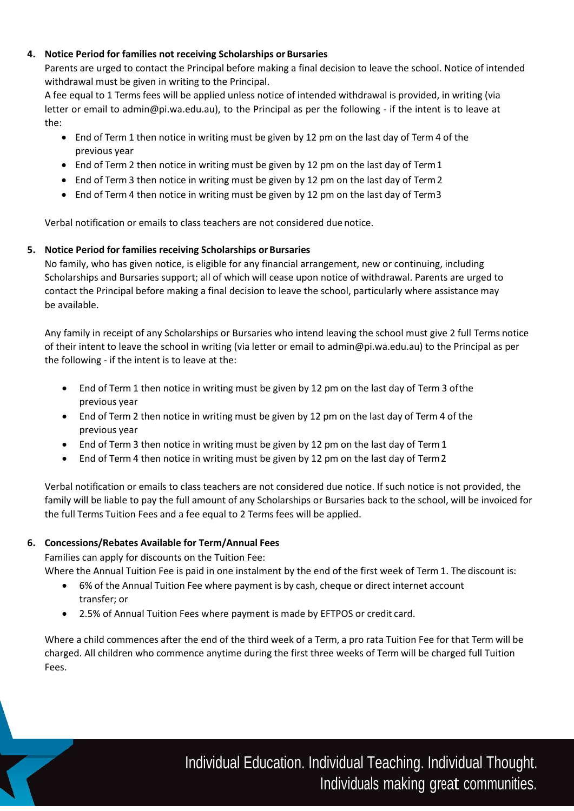### **4. Notice Period for families not receiving Scholarships or Bursaries**

Parents are urged to contact the Principal before making a final decision to leave the school. Notice of intended withdrawal must be given in writing to the Principal.

A fee equal to 1 Terms fees will be applied unless notice of intended withdrawal is provided, in writing (via letter or email to admin@pi.wa.edu.au), to the Principal as per the following - if the intent is to leave at the:

- End of Term 1 then notice in writing must be given by 12 pm on the last day of Term 4 of the previous year
- $\bullet$  End of Term 2 then notice in writing must be given by 12 pm on the last day of Term 1
- End of Term 3 then notice in writing must be given by 12 pm on the last day of Term 2
- End of Term 4 then notice in writing must be given by 12 pm on the last day of Term3

Verbal notification or emails to class teachers are not considered due notice.

## **5.** Notice Period for families receiving Scholarships or Bursaries

No family, who has given notice, is eligible for any financial arrangement, new or continuing, including Scholarships and Bursaries support; all of which will cease upon notice of withdrawal. Parents are urged to contact the Principal before making a final decision to leave the school, particularly where assistance may be available.

Any family in receipt of any Scholarships or Bursaries who intend leaving the school must give 2 full Terms notice of their intent to leave the school in writing (via letter or email to admin@pi.wa.edu.au) to the Principal as per the following - if the intent is to leave at the:

- End of Term 1 then notice in writing must be given by 12 pm on the last day of Term 3 ofthe previous year
- End of Term 2 then notice in writing must be given by 12 pm on the last day of Term 4 of the previous year
- End of Term 3 then notice in writing must be given by 12 pm on the last day of Term1
- End of Term 4 then notice in writing must be given by 12 pm on the last day of Term2

Verbal notification or emails to class teachers are not considered due notice. If such notice is not provided, the family will be liable to pay the full amount of any Scholarships or Bursaries back to the school, will be invoiced for the full Terms Tuition Fees and a fee equal to 2 Terms fees will be applied.

#### **6. Concessions/Rebates Available for Term/Annual Fees**

Families can apply for discounts on the Tuition Fee:

Where the Annual Tuition Fee is paid in one instalment by the end of the first week of Term 1. The discount is:

- 6% of the Annual Tuition Fee where payment is by cash, cheque or direct internet account transfer; or
- 2.5% of Annual Tuition Fees where payment is made by EFTPOS or credit card.

Where a child commences after the end of the third week of a Term, a pro rata Tuition Fee for that Term will be charged. All children who commence anytime during the first three weeks of Term will be charged full Tuition Fees.